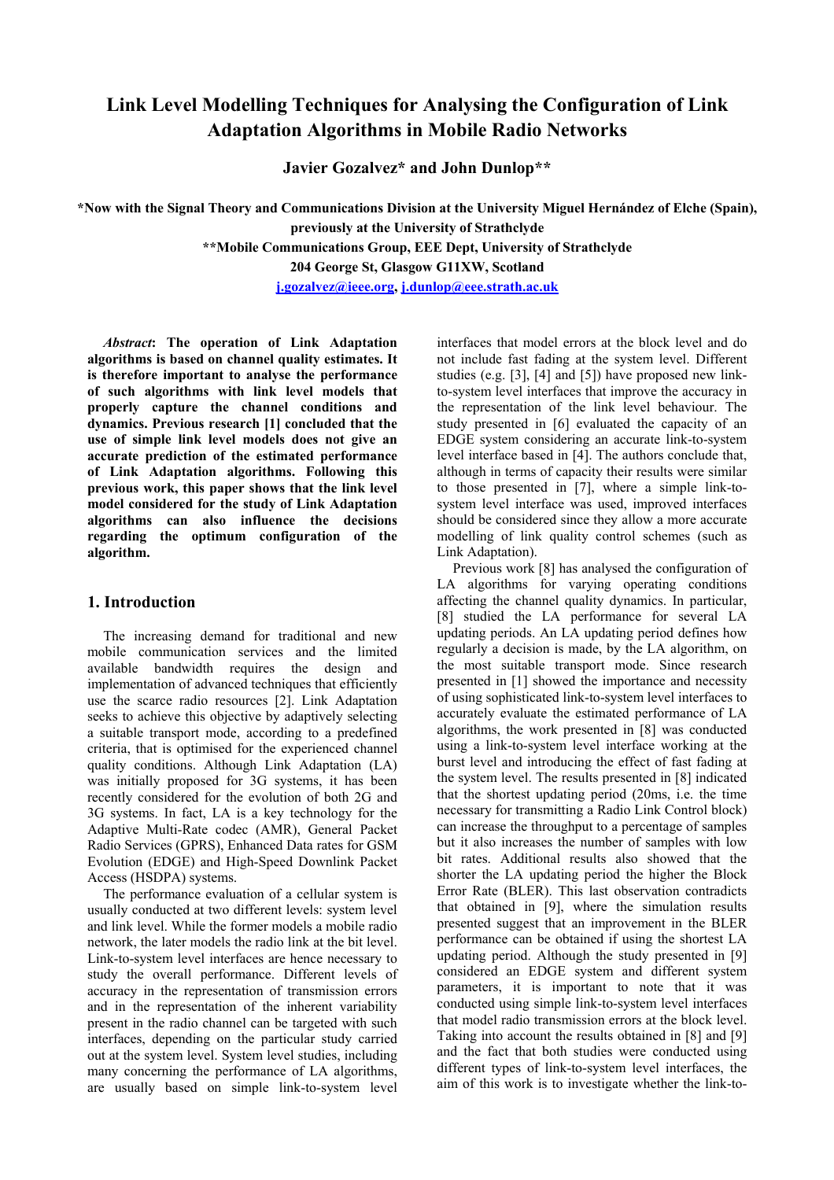# **Link Level Modelling Techniques for Analysing the Configuration of Link Adaptation Algorithms in Mobile Radio Networks**

**Javier Gozalvez\* and John Dunlop\*\*** 

**\*Now with the Signal Theory and Communications Division at the University Miguel Hernández of Elche (Spain), previously at the University of Strathclyde** 

**\*\*Mobile Communications Group, EEE Dept, University of Strathclyde** 

**204 George St, Glasgow G11XW, Scotland** 

**j.gozalvez@ieee.org, j.dunlop@eee.strath.ac.uk**

*Abstract***: The operation of Link Adaptation algorithms is based on channel quality estimates. It is therefore important to analyse the performance of such algorithms with link level models that properly capture the channel conditions and dynamics. Previous research [1] concluded that the use of simple link level models does not give an accurate prediction of the estimated performance of Link Adaptation algorithms. Following this previous work, this paper shows that the link level model considered for the study of Link Adaptation algorithms can also influence the decisions regarding the optimum configuration of the algorithm.** 

## **1. Introduction**

The increasing demand for traditional and new mobile communication services and the limited available bandwidth requires the design and implementation of advanced techniques that efficiently use the scarce radio resources [2]. Link Adaptation seeks to achieve this objective by adaptively selecting a suitable transport mode, according to a predefined criteria, that is optimised for the experienced channel quality conditions. Although Link Adaptation (LA) was initially proposed for 3G systems, it has been recently considered for the evolution of both 2G and 3G systems. In fact, LA is a key technology for the Adaptive Multi-Rate codec (AMR), General Packet Radio Services (GPRS), Enhanced Data rates for GSM Evolution (EDGE) and High-Speed Downlink Packet Access (HSDPA) systems.

The performance evaluation of a cellular system is usually conducted at two different levels: system level and link level. While the former models a mobile radio network, the later models the radio link at the bit level. Link-to-system level interfaces are hence necessary to study the overall performance. Different levels of accuracy in the representation of transmission errors and in the representation of the inherent variability present in the radio channel can be targeted with such interfaces, depending on the particular study carried out at the system level. System level studies, including many concerning the performance of LA algorithms, are usually based on simple link-to-system level

interfaces that model errors at the block level and do not include fast fading at the system level. Different studies (e.g. [3], [4] and [5]) have proposed new linkto-system level interfaces that improve the accuracy in the representation of the link level behaviour. The study presented in [6] evaluated the capacity of an EDGE system considering an accurate link-to-system level interface based in [4]. The authors conclude that, although in terms of capacity their results were similar to those presented in [7], where a simple link-tosystem level interface was used, improved interfaces should be considered since they allow a more accurate modelling of link quality control schemes (such as Link Adaptation).

Previous work [8] has analysed the configuration of LA algorithms for varying operating conditions affecting the channel quality dynamics. In particular, [8] studied the LA performance for several LA updating periods. An LA updating period defines how regularly a decision is made, by the LA algorithm, on the most suitable transport mode. Since research presented in [1] showed the importance and necessity of using sophisticated link-to-system level interfaces to accurately evaluate the estimated performance of LA algorithms, the work presented in [8] was conducted using a link-to-system level interface working at the burst level and introducing the effect of fast fading at the system level. The results presented in [8] indicated that the shortest updating period (20ms, i.e. the time necessary for transmitting a Radio Link Control block) can increase the throughput to a percentage of samples but it also increases the number of samples with low bit rates. Additional results also showed that the shorter the LA updating period the higher the Block Error Rate (BLER). This last observation contradicts that obtained in [9], where the simulation results presented suggest that an improvement in the BLER performance can be obtained if using the shortest LA updating period. Although the study presented in [9] considered an EDGE system and different system parameters, it is important to note that it was conducted using simple link-to-system level interfaces that model radio transmission errors at the block level. Taking into account the results obtained in [8] and [9] and the fact that both studies were conducted using different types of link-to-system level interfaces, the aim of this work is to investigate whether the link-to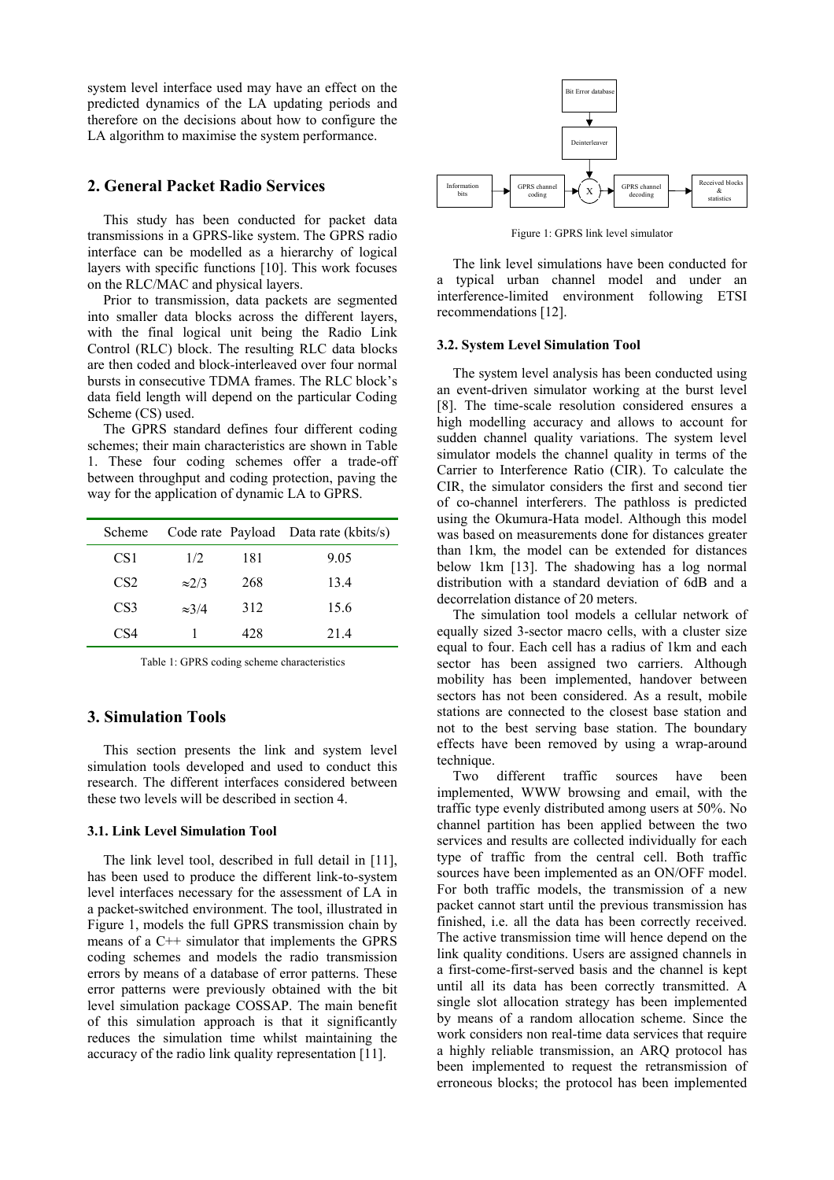system level interface used may have an effect on the predicted dynamics of the LA updating periods and therefore on the decisions about how to configure the LA algorithm to maximise the system performance.

### **2. General Packet Radio Services**

This study has been conducted for packet data transmissions in a GPRS-like system. The GPRS radio interface can be modelled as a hierarchy of logical layers with specific functions [10]. This work focuses on the RLC/MAC and physical layers.

Prior to transmission, data packets are segmented into smaller data blocks across the different layers, with the final logical unit being the Radio Link Control (RLC) block. The resulting RLC data blocks are then coded and block-interleaved over four normal bursts in consecutive TDMA frames. The RLC block's data field length will depend on the particular Coding Scheme (CS) used.

The GPRS standard defines four different coding schemes; their main characteristics are shown in Table 1. These four coding schemes offer a trade-off between throughput and coding protection, paving the way for the application of dynamic LA to GPRS.

| Scheme          |               |     | Code rate Payload Data rate (kbits/s) |
|-----------------|---------------|-----|---------------------------------------|
| CS <sub>1</sub> | 1/2           | 181 | 9.05                                  |
| CS <sub>2</sub> | $\approx$ 2/3 | 268 | 13.4                                  |
| CS <sub>3</sub> | $\approx 3/4$ | 312 | 15.6                                  |
| CS4             |               | 428 | 214                                   |

Table 1: GPRS coding scheme characteristics

## **3. Simulation Tools**

This section presents the link and system level simulation tools developed and used to conduct this research. The different interfaces considered between these two levels will be described in section 4.

#### **3.1. Link Level Simulation Tool**

The link level tool, described in full detail in [11], has been used to produce the different link-to-system level interfaces necessary for the assessment of LA in a packet-switched environment. The tool, illustrated in Figure 1, models the full GPRS transmission chain by means of a C++ simulator that implements the GPRS coding schemes and models the radio transmission errors by means of a database of error patterns. These error patterns were previously obtained with the bit level simulation package COSSAP. The main benefit of this simulation approach is that it significantly reduces the simulation time whilst maintaining the accuracy of the radio link quality representation [11].



Figure 1: GPRS link level simulator

The link level simulations have been conducted for a typical urban channel model and under an interference-limited environment following ETSI recommendations [12].

#### **3.2. System Level Simulation Tool**

The system level analysis has been conducted using an event-driven simulator working at the burst level [8]. The time-scale resolution considered ensures a high modelling accuracy and allows to account for sudden channel quality variations. The system level simulator models the channel quality in terms of the Carrier to Interference Ratio (CIR). To calculate the CIR, the simulator considers the first and second tier of co-channel interferers. The pathloss is predicted using the Okumura-Hata model. Although this model was based on measurements done for distances greater than 1km, the model can be extended for distances below 1km [13]. The shadowing has a log normal distribution with a standard deviation of 6dB and a decorrelation distance of 20 meters.

The simulation tool models a cellular network of equally sized 3-sector macro cells, with a cluster size equal to four. Each cell has a radius of 1km and each sector has been assigned two carriers. Although mobility has been implemented, handover between sectors has not been considered. As a result, mobile stations are connected to the closest base station and not to the best serving base station. The boundary effects have been removed by using a wrap-around technique.

Two different traffic sources have been implemented, WWW browsing and email, with the traffic type evenly distributed among users at 50%. No channel partition has been applied between the two services and results are collected individually for each type of traffic from the central cell. Both traffic sources have been implemented as an ON/OFF model. For both traffic models, the transmission of a new packet cannot start until the previous transmission has finished, i.e. all the data has been correctly received. The active transmission time will hence depend on the link quality conditions. Users are assigned channels in a first-come-first-served basis and the channel is kept until all its data has been correctly transmitted. A single slot allocation strategy has been implemented by means of a random allocation scheme. Since the work considers non real-time data services that require a highly reliable transmission, an ARQ protocol has been implemented to request the retransmission of erroneous blocks; the protocol has been implemented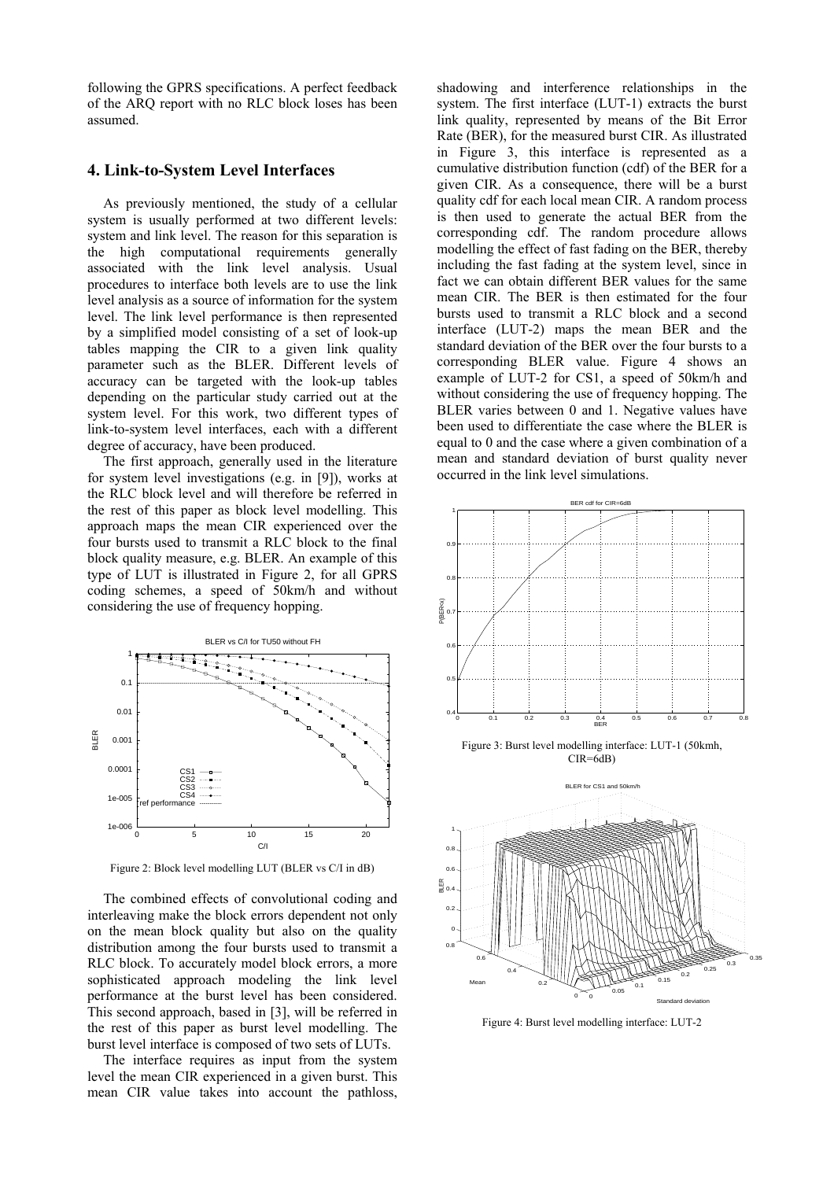following the GPRS specifications. A perfect feedback of the ARQ report with no RLC block loses has been assumed.

## **4. Link-to-System Level Interfaces**

As previously mentioned, the study of a cellular system is usually performed at two different levels: system and link level. The reason for this separation is the high computational requirements generally associated with the link level analysis. Usual procedures to interface both levels are to use the link level analysis as a source of information for the system level. The link level performance is then represented by a simplified model consisting of a set of look-up tables mapping the CIR to a given link quality parameter such as the BLER. Different levels of accuracy can be targeted with the look-up tables depending on the particular study carried out at the system level. For this work, two different types of link-to-system level interfaces, each with a different degree of accuracy, have been produced.

The first approach, generally used in the literature for system level investigations (e.g. in [9]), works at the RLC block level and will therefore be referred in the rest of this paper as block level modelling. This approach maps the mean CIR experienced over the four bursts used to transmit a RLC block to the final block quality measure, e.g. BLER. An example of this type of LUT is illustrated in Figure 2, for all GPRS coding schemes, a speed of 50km/h and without considering the use of frequency hopping.



Figure 2: Block level modelling LUT (BLER vs C/I in dB)

The combined effects of convolutional coding and interleaving make the block errors dependent not only on the mean block quality but also on the quality distribution among the four bursts used to transmit a RLC block. To accurately model block errors, a more sophisticated approach modeling the link level performance at the burst level has been considered. This second approach, based in [3], will be referred in the rest of this paper as burst level modelling. The burst level interface is composed of two sets of LUTs.

The interface requires as input from the system level the mean CIR experienced in a given burst. This mean CIR value takes into account the pathloss,

shadowing and interference relationships in the system. The first interface (LUT-1) extracts the burst link quality, represented by means of the Bit Error Rate (BER), for the measured burst CIR. As illustrated in Figure 3, this interface is represented as a cumulative distribution function (cdf) of the BER for a given CIR. As a consequence, there will be a burst quality cdf for each local mean CIR. A random process is then used to generate the actual BER from the corresponding cdf. The random procedure allows modelling the effect of fast fading on the BER, thereby including the fast fading at the system level, since in fact we can obtain different BER values for the same mean CIR. The BER is then estimated for the four bursts used to transmit a RLC block and a second interface (LUT-2) maps the mean BER and the standard deviation of the BER over the four bursts to a corresponding BLER value. Figure 4 shows an example of LUT-2 for CS1, a speed of 50km/h and without considering the use of frequency hopping. The BLER varies between 0 and 1. Negative values have been used to differentiate the case where the BLER is equal to 0 and the case where a given combination of a mean and standard deviation of burst quality never occurred in the link level simulations.



Figure 3: Burst level modelling interface: LUT-1 (50kmh, CIR=6dB)



Figure 4: Burst level modelling interface: LUT-2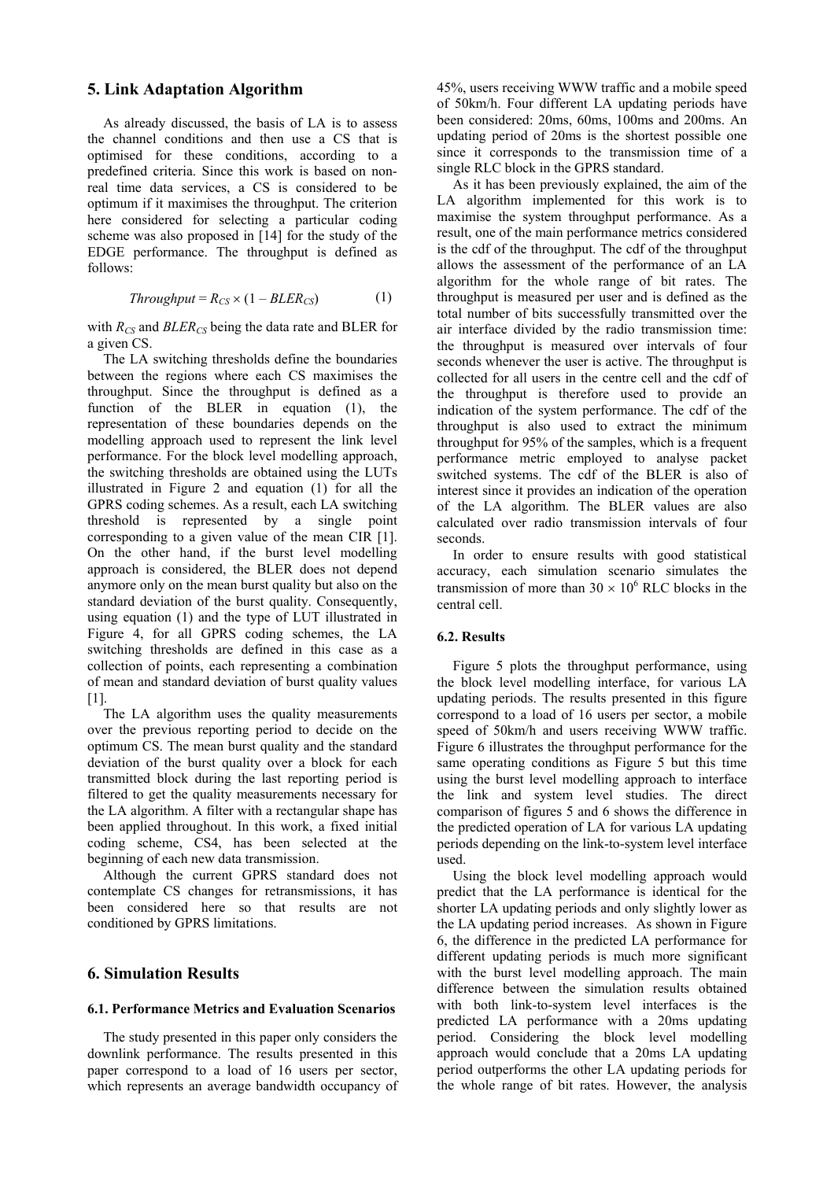#### **5. Link Adaptation Algorithm**

As already discussed, the basis of LA is to assess the channel conditions and then use a CS that is optimised for these conditions, according to a predefined criteria. Since this work is based on nonreal time data services, a CS is considered to be optimum if it maximises the throughput. The criterion here considered for selecting a particular coding scheme was also proposed in [14] for the study of the EDGE performance. The throughput is defined as follows:

$$
Throughout = R_{CS} \times (1 - BLER_{CS}) \tag{1}
$$

with  $R_{CS}$  and  $BLER_{CS}$  being the data rate and BLER for a given CS.

The LA switching thresholds define the boundaries between the regions where each CS maximises the throughput. Since the throughput is defined as a function of the BLER in equation (1), the representation of these boundaries depends on the modelling approach used to represent the link level performance. For the block level modelling approach, the switching thresholds are obtained using the LUTs illustrated in Figure 2 and equation (1) for all the GPRS coding schemes. As a result, each LA switching threshold is represented by a single point corresponding to a given value of the mean CIR [1]. On the other hand, if the burst level modelling approach is considered, the BLER does not depend anymore only on the mean burst quality but also on the standard deviation of the burst quality. Consequently, using equation (1) and the type of LUT illustrated in Figure 4, for all GPRS coding schemes, the LA switching thresholds are defined in this case as a collection of points, each representing a combination of mean and standard deviation of burst quality values  $[1]$ .

The LA algorithm uses the quality measurements over the previous reporting period to decide on the optimum CS. The mean burst quality and the standard deviation of the burst quality over a block for each transmitted block during the last reporting period is filtered to get the quality measurements necessary for the LA algorithm. A filter with a rectangular shape has been applied throughout. In this work, a fixed initial coding scheme, CS4, has been selected at the beginning of each new data transmission.

Although the current GPRS standard does not contemplate CS changes for retransmissions, it has been considered here so that results are not conditioned by GPRS limitations.

## **6. Simulation Results**

#### **6.1. Performance Metrics and Evaluation Scenarios**

The study presented in this paper only considers the downlink performance. The results presented in this paper correspond to a load of 16 users per sector, which represents an average bandwidth occupancy of 45%, users receiving WWW traffic and a mobile speed of 50km/h. Four different LA updating periods have been considered: 20ms, 60ms, 100ms and 200ms. An updating period of 20ms is the shortest possible one since it corresponds to the transmission time of a single RLC block in the GPRS standard.

As it has been previously explained, the aim of the LA algorithm implemented for this work is to maximise the system throughput performance. As a result, one of the main performance metrics considered is the cdf of the throughput. The cdf of the throughput allows the assessment of the performance of an LA algorithm for the whole range of bit rates. The throughput is measured per user and is defined as the total number of bits successfully transmitted over the air interface divided by the radio transmission time: the throughput is measured over intervals of four seconds whenever the user is active. The throughput is collected for all users in the centre cell and the cdf of the throughput is therefore used to provide an indication of the system performance. The cdf of the throughput is also used to extract the minimum throughput for 95% of the samples, which is a frequent performance metric employed to analyse packet switched systems. The cdf of the BLER is also of interest since it provides an indication of the operation of the LA algorithm. The BLER values are also calculated over radio transmission intervals of four seconds.

In order to ensure results with good statistical accuracy, each simulation scenario simulates the transmission of more than  $30 \times 10^6$  RLC blocks in the central cell.

#### **6.2. Results**

Figure 5 plots the throughput performance, using the block level modelling interface, for various LA updating periods. The results presented in this figure correspond to a load of 16 users per sector, a mobile speed of 50km/h and users receiving WWW traffic. Figure 6 illustrates the throughput performance for the same operating conditions as Figure 5 but this time using the burst level modelling approach to interface the link and system level studies. The direct comparison of figures 5 and 6 shows the difference in the predicted operation of LA for various LA updating periods depending on the link-to-system level interface used.

Using the block level modelling approach would predict that the LA performance is identical for the shorter LA updating periods and only slightly lower as the LA updating period increases. As shown in Figure 6, the difference in the predicted LA performance for different updating periods is much more significant with the burst level modelling approach. The main difference between the simulation results obtained with both link-to-system level interfaces is the predicted LA performance with a 20ms updating period. Considering the block level modelling approach would conclude that a 20ms LA updating period outperforms the other LA updating periods for the whole range of bit rates. However, the analysis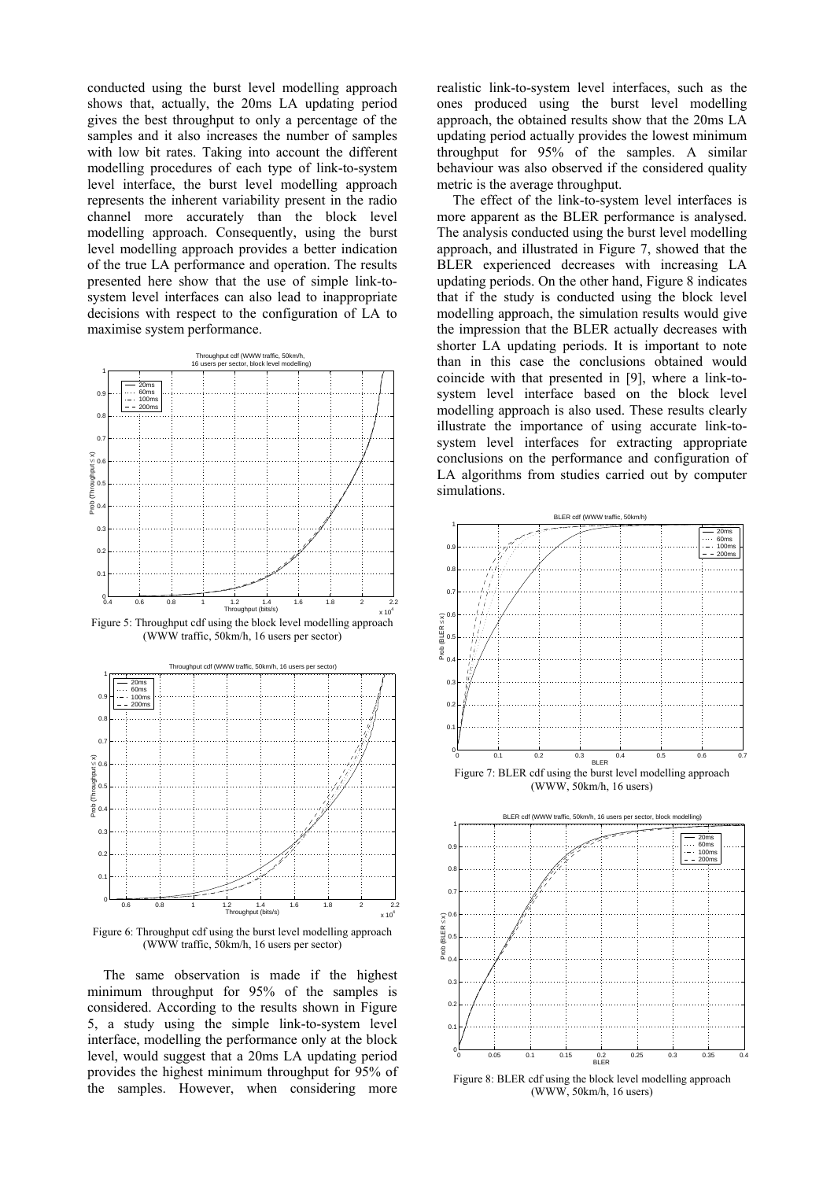conducted using the burst level modelling approach shows that, actually, the 20ms LA updating period gives the best throughput to only a percentage of the samples and it also increases the number of samples with low bit rates. Taking into account the different modelling procedures of each type of link-to-system level interface, the burst level modelling approach represents the inherent variability present in the radio channel more accurately than the block level modelling approach. Consequently, using the burst level modelling approach provides a better indication of the true LA performance and operation. The results presented here show that the use of simple link-tosystem level interfaces can also lead to inappropriate decisions with respect to the configuration of LA to maximise system performance.



Figure 5: Throughput cdf using the block level modelling approach (WWW traffic, 50km/h, 16 users per sector)



Figure 6: Throughput cdf using the burst level modelling approach (WWW traffic, 50km/h, 16 users per sector)

The same observation is made if the highest minimum throughput for 95% of the samples is considered. According to the results shown in Figure 5, a study using the simple link-to-system level interface, modelling the performance only at the block level, would suggest that a 20ms LA updating period provides the highest minimum throughput for 95% of the samples. However, when considering more

realistic link-to-system level interfaces, such as the ones produced using the burst level modelling approach, the obtained results show that the 20ms LA updating period actually provides the lowest minimum throughput for 95% of the samples. A similar behaviour was also observed if the considered quality metric is the average throughput.

The effect of the link-to-system level interfaces is more apparent as the BLER performance is analysed. The analysis conducted using the burst level modelling approach, and illustrated in Figure 7, showed that the BLER experienced decreases with increasing LA updating periods. On the other hand, Figure 8 indicates that if the study is conducted using the block level modelling approach, the simulation results would give the impression that the BLER actually decreases with shorter LA updating periods. It is important to note than in this case the conclusions obtained would coincide with that presented in [9], where a link-tosystem level interface based on the block level modelling approach is also used. These results clearly illustrate the importance of using accurate link-tosystem level interfaces for extracting appropriate conclusions on the performance and configuration of LA algorithms from studies carried out by computer simulations.



(WWW, 50km/h, 16 users)



Figure 8: BLER cdf using the block level modelling approach (WWW, 50km/h, 16 users)